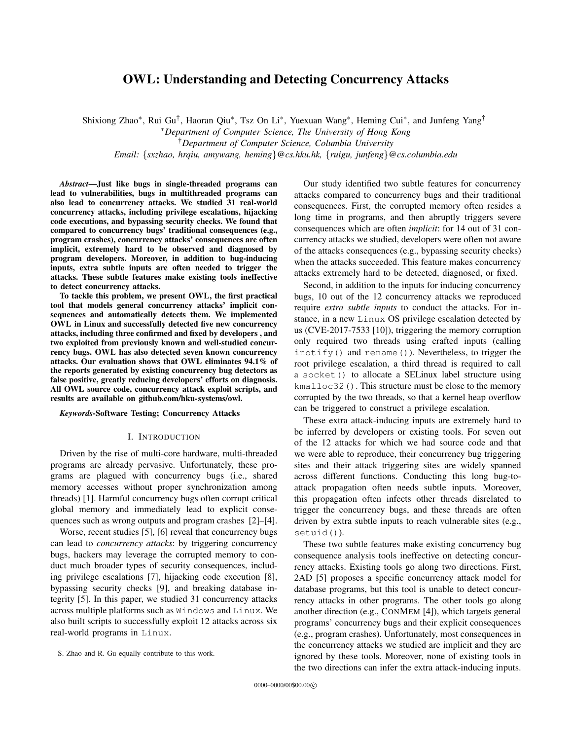# OWL: Understanding and Detecting Concurrency Attacks

Shixiong Zhao<sup>∗</sup>, Rui Gu<sup>†</sup>, Haoran Qiu<sup>∗</sup>, Tsz On Li<sup>∗</sup>, Yuexuan Wang<sup>∗</sup>, Heming Cui<sup>∗</sup>, and Junfeng Yang<sup>†</sup>

<sup>∗</sup>*Department of Computer Science, The University of Hong Kong*

†*Department of Computer Science, Columbia University*

*Email:* {*sxzhao, hrqiu, amywang, heming*}*@cs.hku.hk,* {*ruigu, junfeng*}*@cs.columbia.edu*

*Abstract*—Just like bugs in single-threaded programs can lead to vulnerabilities, bugs in multithreaded programs can also lead to concurrency attacks. We studied 31 real-world concurrency attacks, including privilege escalations, hijacking code executions, and bypassing security checks. We found that compared to concurrency bugs' traditional consequences (e.g., program crashes), concurrency attacks' consequences are often implicit, extremely hard to be observed and diagnosed by program developers. Moreover, in addition to bug-inducing inputs, extra subtle inputs are often needed to trigger the attacks. These subtle features make existing tools ineffective to detect concurrency attacks.

To tackle this problem, we present OWL, the first practical tool that models general concurrency attacks' implicit consequences and automatically detects them. We implemented OWL in Linux and successfully detected five new concurrency attacks, including three confirmed and fixed by developers , and two exploited from previously known and well-studied concurrency bugs. OWL has also detected seven known concurrency attacks. Our evaluation shows that OWL eliminates 94.1% of the reports generated by existing concurrency bug detectors as false positive, greatly reducing developers' efforts on diagnosis. All OWL source code, concurrency attack exploit scripts, and results are available on github.com/hku-systems/owl.

### *Keywords*-Software Testing; Concurrency Attacks

# I. INTRODUCTION

Driven by the rise of multi-core hardware, multi-threaded programs are already pervasive. Unfortunately, these programs are plagued with concurrency bugs (i.e., shared memory accesses without proper synchronization among threads) [1]. Harmful concurrency bugs often corrupt critical global memory and immediately lead to explicit consequences such as wrong outputs and program crashes [2]–[4].

Worse, recent studies [5], [6] reveal that concurrency bugs can lead to *concurrency attacks*: by triggering concurrency bugs, hackers may leverage the corrupted memory to conduct much broader types of security consequences, including privilege escalations [7], hijacking code execution [8], bypassing security checks [9], and breaking database integrity [5]. In this paper, we studied 31 concurrency attacks across multiple platforms such as Windows and Linux. We also built scripts to successfully exploit 12 attacks across six real-world programs in Linux.

Our study identified two subtle features for concurrency attacks compared to concurrency bugs and their traditional consequences. First, the corrupted memory often resides a long time in programs, and then abruptly triggers severe consequences which are often *implicit*: for 14 out of 31 concurrency attacks we studied, developers were often not aware of the attacks consequences (e.g., bypassing security checks) when the attacks succeeded. This feature makes concurrency attacks extremely hard to be detected, diagnosed, or fixed.

Second, in addition to the inputs for inducing concurrency bugs, 10 out of the 12 concurrency attacks we reproduced require *extra subtle inputs* to conduct the attacks. For instance, in a new Linux OS privilege escalation detected by us (CVE-2017-7533 [10]), triggering the memory corruption only required two threads using crafted inputs (calling inotify() and rename()). Nevertheless, to trigger the root privilege escalation, a third thread is required to call a socket() to allocate a SELinux label structure using kmalloc32(). This structure must be close to the memory corrupted by the two threads, so that a kernel heap overflow can be triggered to construct a privilege escalation.

These extra attack-inducing inputs are extremely hard to be inferred by developers or existing tools. For seven out of the 12 attacks for which we had source code and that we were able to reproduce, their concurrency bug triggering sites and their attack triggering sites are widely spanned across different functions. Conducting this long bug-toattack propagation often needs subtle inputs. Moreover, this propagation often infects other threads disrelated to trigger the concurrency bugs, and these threads are often driven by extra subtle inputs to reach vulnerable sites (e.g., setuid()).

These two subtle features make existing concurrency bug consequence analysis tools ineffective on detecting concurrency attacks. Existing tools go along two directions. First, 2AD [5] proposes a specific concurrency attack model for database programs, but this tool is unable to detect concurrency attacks in other programs. The other tools go along another direction (e.g., CONMEM [4]), which targets general programs' concurrency bugs and their explicit consequences (e.g., program crashes). Unfortunately, most consequences in the concurrency attacks we studied are implicit and they are ignored by these tools. Moreover, none of existing tools in the two directions can infer the extra attack-inducing inputs.

S. Zhao and R. Gu equally contribute to this work.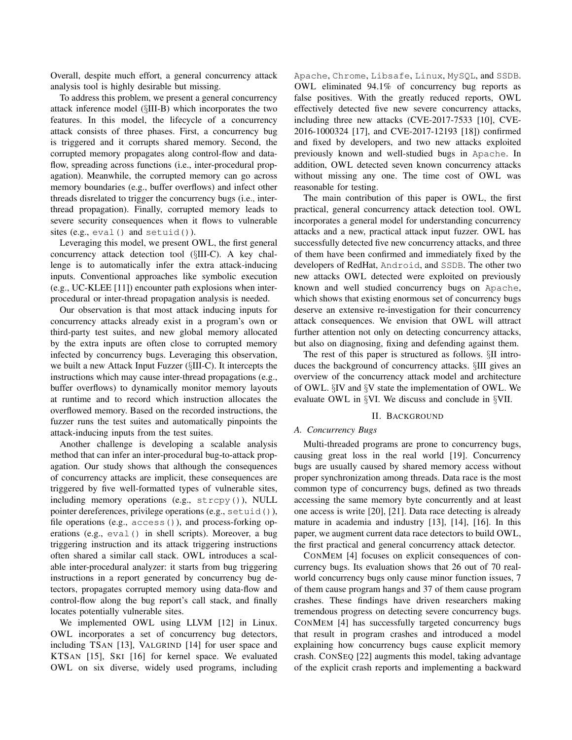Overall, despite much effort, a general concurrency attack analysis tool is highly desirable but missing.

To address this problem, we present a general concurrency attack inference model (§III-B) which incorporates the two features. In this model, the lifecycle of a concurrency attack consists of three phases. First, a concurrency bug is triggered and it corrupts shared memory. Second, the corrupted memory propagates along control-flow and dataflow, spreading across functions (i.e., inter-procedural propagation). Meanwhile, the corrupted memory can go across memory boundaries (e.g., buffer overflows) and infect other threads disrelated to trigger the concurrency bugs (i.e., interthread propagation). Finally, corrupted memory leads to severe security consequences when it flows to vulnerable sites (e.g., eval() and setuid()).

Leveraging this model, we present OWL, the first general concurrency attack detection tool (§III-C). A key challenge is to automatically infer the extra attack-inducing inputs. Conventional approaches like symbolic execution (e.g., UC-KLEE [11]) encounter path explosions when interprocedural or inter-thread propagation analysis is needed.

Our observation is that most attack inducing inputs for concurrency attacks already exist in a program's own or third-party test suites, and new global memory allocated by the extra inputs are often close to corrupted memory infected by concurrency bugs. Leveraging this observation, we built a new Attack Input Fuzzer (§III-C). It intercepts the instructions which may cause inter-thread propagations (e.g., buffer overflows) to dynamically monitor memory layouts at runtime and to record which instruction allocates the overflowed memory. Based on the recorded instructions, the fuzzer runs the test suites and automatically pinpoints the attack-inducing inputs from the test suites.

Another challenge is developing a scalable analysis method that can infer an inter-procedural bug-to-attack propagation. Our study shows that although the consequences of concurrency attacks are implicit, these consequences are triggered by five well-formatted types of vulnerable sites, including memory operations (e.g., strcpy()), NULL pointer dereferences, privilege operations (e.g., setuid()), file operations (e.g.,  $access()$ ), and process-forking operations (e.g., eval() in shell scripts). Moreover, a bug triggering instruction and its attack triggering instructions often shared a similar call stack. OWL introduces a scalable inter-procedural analyzer: it starts from bug triggering instructions in a report generated by concurrency bug detectors, propagates corrupted memory using data-flow and control-flow along the bug report's call stack, and finally locates potentially vulnerable sites.

We implemented OWL using LLVM [12] in Linux. OWL incorporates a set of concurrency bug detectors, including TSAN [13], VALGRIND [14] for user space and KTSAN [15], SKI [16] for kernel space. We evaluated OWL on six diverse, widely used programs, including Apache, Chrome, Libsafe, Linux, MySQL, and SSDB. OWL eliminated 94.1% of concurrency bug reports as false positives. With the greatly reduced reports, OWL effectively detected five new severe concurrency attacks, including three new attacks (CVE-2017-7533 [10], CVE-2016-1000324 [17], and CVE-2017-12193 [18]) confirmed and fixed by developers, and two new attacks exploited previously known and well-studied bugs in Apache. In addition, OWL detected seven known concurrency attacks without missing any one. The time cost of OWL was reasonable for testing.

The main contribution of this paper is OWL, the first practical, general concurrency attack detection tool. OWL incorporates a general model for understanding concurrency attacks and a new, practical attack input fuzzer. OWL has successfully detected five new concurrency attacks, and three of them have been confirmed and immediately fixed by the developers of RedHat, Android, and SSDB. The other two new attacks OWL detected were exploited on previously known and well studied concurrency bugs on Apache, which shows that existing enormous set of concurrency bugs deserve an extensive re-investigation for their concurrency attack consequences. We envision that OWL will attract further attention not only on detecting concurrency attacks, but also on diagnosing, fixing and defending against them.

The rest of this paper is structured as follows. §II introduces the background of concurrency attacks. §III gives an overview of the concurrency attack model and architecture of OWL. §IV and §V state the implementation of OWL. We evaluate OWL in §VI. We discuss and conclude in §VII.

# II. BACKGROUND

# *A. Concurrency Bugs*

Multi-threaded programs are prone to concurrency bugs, causing great loss in the real world [19]. Concurrency bugs are usually caused by shared memory access without proper synchronization among threads. Data race is the most common type of concurrency bugs, defined as two threads accessing the same memory byte concurrently and at least one access is write [20], [21]. Data race detecting is already mature in academia and industry [13], [14], [16]. In this paper, we augment current data race detectors to build OWL, the first practical and general concurrency attack detector.

CONMEM [4] focuses on explicit consequences of concurrency bugs. Its evaluation shows that 26 out of 70 realworld concurrency bugs only cause minor function issues, 7 of them cause program hangs and 37 of them cause program crashes. These findings have driven researchers making tremendous progress on detecting severe concurrency bugs. CONMEM [4] has successfully targeted concurrency bugs that result in program crashes and introduced a model explaining how concurrency bugs cause explicit memory crash. CONSEQ [22] augments this model, taking advantage of the explicit crash reports and implementing a backward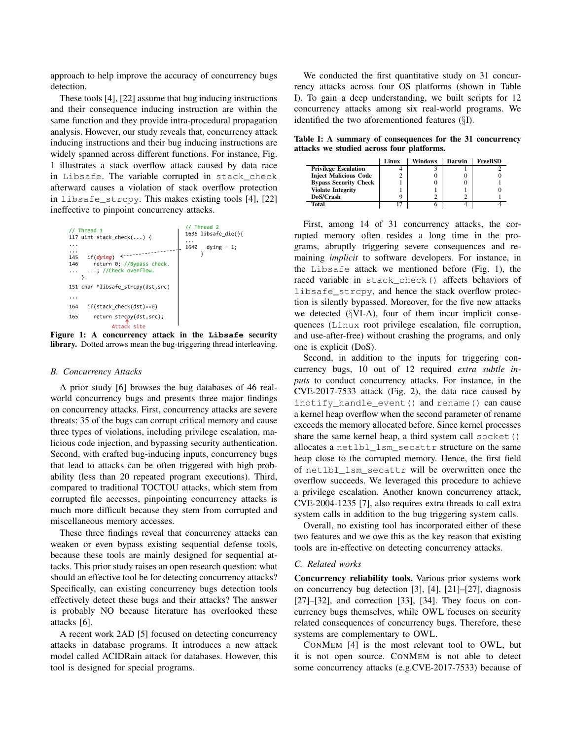approach to help improve the accuracy of concurrency bugs detection.

These tools [4], [22] assume that bug inducing instructions and their consequence inducing instruction are within the same function and they provide intra-procedural propagation analysis. However, our study reveals that, concurrency attack inducing instructions and their bug inducing instructions are widely spanned across different functions. For instance, Fig. 1 illustrates a stack overflow attack caused by data race in Libsafe. The variable corrupted in stack\_check afterward causes a violation of stack overflow protection in libsafe\_strcpy. This makes existing tools [4], [22] ineffective to pinpoint concurrency attacks.



Figure 1: A concurrency attack in the **Libsafe** security library. Dotted arrows mean the bug-triggering thread interleaving.

### *B. Concurrency Attacks*

A prior study [6] browses the bug databases of 46 realworld concurrency bugs and presents three major findings on concurrency attacks. First, concurrency attacks are severe threats: 35 of the bugs can corrupt critical memory and cause three types of violations, including privilege escalation, malicious code injection, and bypassing security authentication. Second, with crafted bug-inducing inputs, concurrency bugs that lead to attacks can be often triggered with high probability (less than 20 repeated program executions). Third, compared to traditional TOCTOU attacks, which stem from corrupted file accesses, pinpointing concurrency attacks is much more difficult because they stem from corrupted and miscellaneous memory accesses.

These three findings reveal that concurrency attacks can weaken or even bypass existing sequential defense tools, because these tools are mainly designed for sequential attacks. This prior study raises an open research question: what should an effective tool be for detecting concurrency attacks? Specifically, can existing concurrency bugs detection tools effectively detect these bugs and their attacks? The answer is probably NO because literature has overlooked these attacks [6].

A recent work 2AD [5] focused on detecting concurrency attacks in database programs. It introduces a new attack model called ACIDRain attack for databases. However, this tool is designed for special programs.

We conducted the first quantitative study on 31 concurrency attacks across four OS platforms (shown in Table I). To gain a deep understanding, we built scripts for 12 concurrency attacks among six real-world programs. We identified the two aforementioned features (§I).

Table I: A summary of consequences for the 31 concurrency attacks we studied across four platforms.

|                              | Linux | Windows | Darwin | FreeBSD |
|------------------------------|-------|---------|--------|---------|
| <b>Privilege Escalation</b>  |       |         |        |         |
| <b>Inject Malicious Code</b> |       |         |        |         |
| <b>Bypass Security Check</b> |       |         |        |         |
| <b>Violate Integrity</b>     |       |         |        |         |
| DoS/Crash                    |       |         |        |         |
| Total                        |       |         |        |         |

First, among 14 of 31 concurrency attacks, the corrupted memory often resides a long time in the programs, abruptly triggering severe consequences and remaining *implicit* to software developers. For instance, in the Libsafe attack we mentioned before (Fig. 1), the raced variable in stack\_check() affects behaviors of libsafe\_strcpy, and hence the stack overflow protection is silently bypassed. Moreover, for the five new attacks we detected (§VI-A), four of them incur implicit consequences (Linux root privilege escalation, file corruption, and use-after-free) without crashing the programs, and only one is explicit (DoS).

Second, in addition to the inputs for triggering concurrency bugs, 10 out of 12 required *extra subtle inputs* to conduct concurrency attacks. For instance, in the CVE-2017-7533 attack (Fig. 2), the data race caused by inotify\_handle\_event() and rename() can cause a kernel heap overflow when the second parameter of rename exceeds the memory allocated before. Since kernel processes share the same kernel heap, a third system call socket() allocates a netlbl\_lsm\_secattr structure on the same heap close to the corrupted memory. Hence, the first field of netlbl\_lsm\_secattr will be overwritten once the overflow succeeds. We leveraged this procedure to achieve a privilege escalation. Another known concurrency attack, CVE-2004-1235 [7], also requires extra threads to call extra system calls in addition to the bug triggering system calls.

Overall, no existing tool has incorporated either of these two features and we owe this as the key reason that existing tools are in-effective on detecting concurrency attacks.

# *C. Related works*

Concurrency reliability tools. Various prior systems work on concurrency bug detection [3], [4], [21]–[27], diagnosis [27]–[32], and correction [33], [34]. They focus on concurrency bugs themselves, while OWL focuses on security related consequences of concurrency bugs. Therefore, these systems are complementary to OWL.

CONMEM [4] is the most relevant tool to OWL, but it is not open source. CONMEM is not able to detect some concurrency attacks (e.g.CVE-2017-7533) because of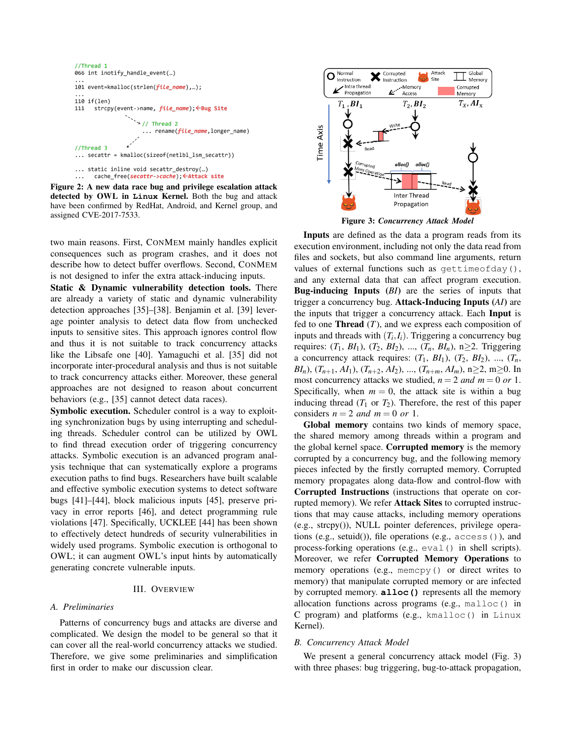```
//Thread 1
066 int inotify_handle_event(...)
101 event=kmalloc(strlen(file_name),...);
110 if (len)111
      strcpy(event->name, file_name); <Bug Site
                      // Thread 2
                      ... rename(file_name,longer_name)
//Thread 3
\ldots secattr =
              kmalloc(sizeof(netlbl_lsm_secattr))
... static inline void secattr_destroy(...)
      cache_free(secattr->cache); <Attack site
```
Figure 2: A new data race bug and privilege escalation attack detected by OWL in **Linux** Kernel. Both the bug and attack have been confirmed by RedHat, Android, and Kernel group, and assigned CVE-2017-7533.

two main reasons. First, CONMEM mainly handles explicit consequences such as program crashes, and it does not describe how to detect buffer overflows. Second, CONMEM is not designed to infer the extra attack-inducing inputs.

Static & Dynamic vulnerability detection tools. There are already a variety of static and dynamic vulnerability detection approaches [35]–[38]. Benjamin et al. [39] leverage pointer analysis to detect data flow from unchecked inputs to sensitive sites. This approach ignores control flow and thus it is not suitable to track concurrency attacks like the Libsafe one [40]. Yamaguchi et al. [35] did not incorporate inter-procedural analysis and thus is not suitable to track concurrency attacks either. Moreover, these general approaches are not designed to reason about concurrent behaviors (e.g., [35] cannot detect data races).

Symbolic execution. Scheduler control is a way to exploiting synchronization bugs by using interrupting and scheduling threads. Scheduler control can be utilized by OWL to find thread execution order of triggering concurrency attacks. Symbolic execution is an advanced program analysis technique that can systematically explore a programs execution paths to find bugs. Researchers have built scalable and effective symbolic execution systems to detect software bugs [41]–[44], block malicious inputs [45], preserve privacy in error reports [46], and detect programming rule violations [47]. Specifically, UCKLEE [44] has been shown to effectively detect hundreds of security vulnerabilities in widely used programs. Symbolic execution is orthogonal to OWL; it can augment OWL's input hints by automatically generating concrete vulnerable inputs.

### III. OVERVIEW

# *A. Preliminaries*

Patterns of concurrency bugs and attacks are diverse and complicated. We design the model to be general so that it can cover all the real-world concurrency attacks we studied. Therefore, we give some preliminaries and simplification first in order to make our discussion clear.



Figure 3: *Concurrency Attack Model*

Inputs are defined as the data a program reads from its execution environment, including not only the data read from files and sockets, but also command line arguments, return values of external functions such as gettimeofday(), and any external data that can affect program execution. Bug-inducing Inputs (*BI*) are the series of inputs that trigger a concurrency bug. Attack-Inducing Inputs (*AI*) are the inputs that trigger a concurrency attack. Each Input is fed to one **Thread**  $(T)$ , and we express each composition of inputs and threads with  $(T_i, I_i)$ . Triggering a concurrency bug requires:  $(T_1, B_1), (T_2, B_2), ..., (T_n, B_n), n \geq 2$ . Triggering a concurrency attack requires:  $(T_1, B_1)$ ,  $(T_2, B_2)$ , ...,  $(T_n,$ *BI<sub>n</sub>*),  $(T_{n+1}, AI_1)$ ,  $(T_{n+2}, AI_2)$ , ...,  $(T_{n+m}, AI_m)$ , n≥2, m≥0. In most concurrency attacks we studied,  $n = 2$  *and*  $m = 0$  *or* 1. Specifically, when  $m = 0$ , the attack site is within a bug inducing thread  $(T_1 \text{ or } T_2)$ . Therefore, the rest of this paper considers  $n = 2$  *and*  $m = 0$  *or* 1.

Global memory contains two kinds of memory space, the shared memory among threads within a program and the global kernel space. Corrupted memory is the memory corrupted by a concurrency bug, and the following memory pieces infected by the firstly corrupted memory. Corrupted memory propagates along data-flow and control-flow with Corrupted Instructions (instructions that operate on corrupted memory). We refer Attack Sites to corrupted instructions that may cause attacks, including memory operations (e.g., strcpy()), NULL pointer deferences, privilege operations (e.g., setuid()), file operations (e.g., access()), and process-forking operations (e.g., eval() in shell scripts). Moreover, we refer Corrupted Memory Operations to memory operations (e.g., memory () or direct writes to memory) that manipulate corrupted memory or are infected by corrupted memory. **alloc()** represents all the memory allocation functions across programs (e.g., malloc() in C program) and platforms (e.g., kmalloc() in Linux Kernel).

### *B. Concurrency Attack Model*

We present a general concurrency attack model (Fig. 3) with three phases: bug triggering, bug-to-attack propagation,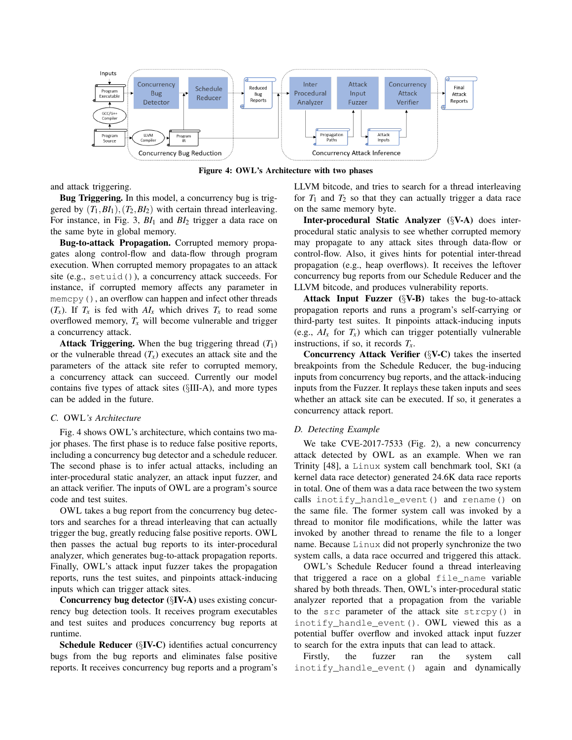

Figure 4: OWL's Architecture with two phases

and attack triggering.

Bug Triggering. In this model, a concurrency bug is triggered by  $(T_1, BI_1), (T_2, BI_2)$  with certain thread interleaving. For instance, in Fig. 3, *BI*<sup>1</sup> and *BI*<sup>2</sup> trigger a data race on the same byte in global memory.

Bug-to-attack Propagation. Corrupted memory propagates along control-flow and data-flow through program execution. When corrupted memory propagates to an attack site (e.g., setuid()), a concurrency attack succeeds. For instance, if corrupted memory affects any parameter in memcpy(), an overflow can happen and infect other threads  $(T_x)$ . If  $T_x$  is fed with  $AI_x$  which drives  $T_x$  to read some overflowed memory,  $T_x$  will become vulnerable and trigger a concurrency attack.

Attack Triggering. When the bug triggering thread  $(T_1)$ or the vulnerable thread  $(T_x)$  executes an attack site and the parameters of the attack site refer to corrupted memory, a concurrency attack can succeed. Currently our model contains five types of attack sites (§III-A), and more types can be added in the future.

### *C.* OWL*'s Architecture*

Fig. 4 shows OWL's architecture, which contains two major phases. The first phase is to reduce false positive reports, including a concurrency bug detector and a schedule reducer. The second phase is to infer actual attacks, including an inter-procedural static analyzer, an attack input fuzzer, and an attack verifier. The inputs of OWL are a program's source code and test suites.

OWL takes a bug report from the concurrency bug detectors and searches for a thread interleaving that can actually trigger the bug, greatly reducing false positive reports. OWL then passes the actual bug reports to its inter-procedural analyzer, which generates bug-to-attack propagation reports. Finally, OWL's attack input fuzzer takes the propagation reports, runs the test suites, and pinpoints attack-inducing inputs which can trigger attack sites.

Concurrency bug detector (§IV-A) uses existing concurrency bug detection tools. It receives program executables and test suites and produces concurrency bug reports at runtime.

Schedule Reducer (§IV-C) identifies actual concurrency bugs from the bug reports and eliminates false positive reports. It receives concurrency bug reports and a program's LLVM bitcode, and tries to search for a thread interleaving for  $T_1$  and  $T_2$  so that they can actually trigger a data race on the same memory byte.

Inter-procedural Static Analyzer (§V-A) does interprocedural static analysis to see whether corrupted memory may propagate to any attack sites through data-flow or control-flow. Also, it gives hints for potential inter-thread propagation (e.g., heap overflows). It receives the leftover concurrency bug reports from our Schedule Reducer and the LLVM bitcode, and produces vulnerability reports.

Attack Input Fuzzer (§V-B) takes the bug-to-attack propagation reports and runs a program's self-carrying or third-party test suites. It pinpoints attack-inducing inputs (e.g.,  $AI_x$  for  $T_x$ ) which can trigger potentially vulnerable instructions, if so, it records *Tx*.

Concurrency Attack Verifier (§V-C) takes the inserted breakpoints from the Schedule Reducer, the bug-inducing inputs from concurrency bug reports, and the attack-inducing inputs from the Fuzzer. It replays these taken inputs and sees whether an attack site can be executed. If so, it generates a concurrency attack report.

# *D. Detecting Example*

We take CVE-2017-7533 (Fig. 2), a new concurrency attack detected by OWL as an example. When we ran Trinity [48], a Linux system call benchmark tool, SKI (a kernel data race detector) generated 24.6K data race reports in total. One of them was a data race between the two system calls inotify handle event() and rename() on the same file. The former system call was invoked by a thread to monitor file modifications, while the latter was invoked by another thread to rename the file to a longer name. Because Linux did not properly synchronize the two system calls, a data race occurred and triggered this attack.

OWL's Schedule Reducer found a thread interleaving that triggered a race on a global file\_name variable shared by both threads. Then, OWL's inter-procedural static analyzer reported that a propagation from the variable to the src parameter of the attack site strcpy() in inotify\_handle\_event(). OWL viewed this as a potential buffer overflow and invoked attack input fuzzer to search for the extra inputs that can lead to attack.

Firstly, the fuzzer ran the system call inotify\_handle\_event() again and dynamically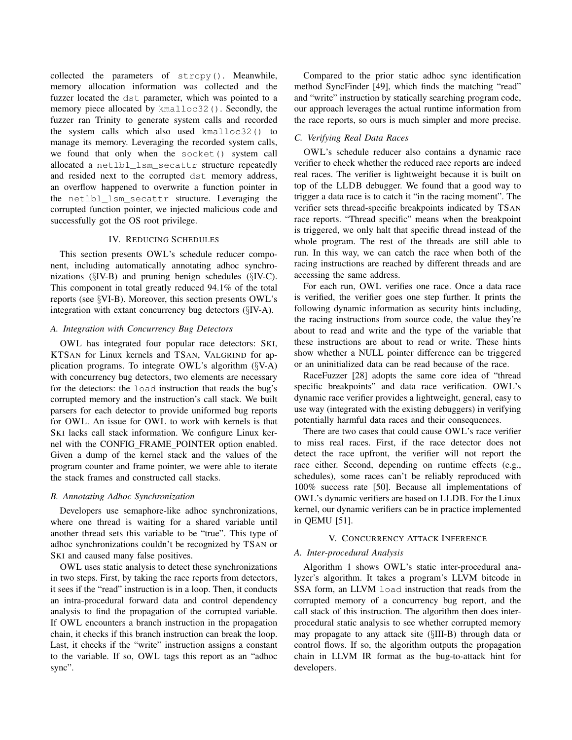collected the parameters of strcpy(). Meanwhile, memory allocation information was collected and the fuzzer located the dst parameter, which was pointed to a memory piece allocated by kmalloc32(). Secondly, the fuzzer ran Trinity to generate system calls and recorded the system calls which also used kmalloc32() to manage its memory. Leveraging the recorded system calls, we found that only when the socket() system call allocated a netlbl\_lsm\_secattr structure repeatedly and resided next to the corrupted dst memory address, an overflow happened to overwrite a function pointer in the netlbl\_lsm\_secattr structure. Leveraging the corrupted function pointer, we injected malicious code and successfully got the OS root privilege.

# IV. REDUCING SCHEDULES

This section presents OWL's schedule reducer component, including automatically annotating adhoc synchronizations (§IV-B) and pruning benign schedules (§IV-C). This component in total greatly reduced 94.1% of the total reports (see §VI-B). Moreover, this section presents OWL's integration with extant concurrency bug detectors (§IV-A).

# *A. Integration with Concurrency Bug Detectors*

OWL has integrated four popular race detectors: SKI, KTSAN for Linux kernels and TSAN, VALGRIND for application programs. To integrate OWL's algorithm (§V-A) with concurrency bug detectors, two elements are necessary for the detectors: the load instruction that reads the bug's corrupted memory and the instruction's call stack. We built parsers for each detector to provide uniformed bug reports for OWL. An issue for OWL to work with kernels is that SKI lacks call stack information. We configure Linux kernel with the CONFIG FRAME POINTER option enabled. Given a dump of the kernel stack and the values of the program counter and frame pointer, we were able to iterate the stack frames and constructed call stacks.

# *B. Annotating Adhoc Synchronization*

Developers use semaphore-like adhoc synchronizations, where one thread is waiting for a shared variable until another thread sets this variable to be "true". This type of adhoc synchronizations couldn't be recognized by TSAN or SKI and caused many false positives.

OWL uses static analysis to detect these synchronizations in two steps. First, by taking the race reports from detectors, it sees if the "read" instruction is in a loop. Then, it conducts an intra-procedural forward data and control dependency analysis to find the propagation of the corrupted variable. If OWL encounters a branch instruction in the propagation chain, it checks if this branch instruction can break the loop. Last, it checks if the "write" instruction assigns a constant to the variable. If so, OWL tags this report as an "adhoc sync".

Compared to the prior static adhoc sync identification method SyncFinder [49], which finds the matching "read" and "write" instruction by statically searching program code, our approach leverages the actual runtime information from the race reports, so ours is much simpler and more precise.

# *C. Verifying Real Data Races*

OWL's schedule reducer also contains a dynamic race verifier to check whether the reduced race reports are indeed real races. The verifier is lightweight because it is built on top of the LLDB debugger. We found that a good way to trigger a data race is to catch it "in the racing moment". The verifier sets thread-specific breakpoints indicated by TSAN race reports. "Thread specific" means when the breakpoint is triggered, we only halt that specific thread instead of the whole program. The rest of the threads are still able to run. In this way, we can catch the race when both of the racing instructions are reached by different threads and are accessing the same address.

For each run, OWL verifies one race. Once a data race is verified, the verifier goes one step further. It prints the following dynamic information as security hints including, the racing instructions from source code, the value they're about to read and write and the type of the variable that these instructions are about to read or write. These hints show whether a NULL pointer difference can be triggered or an uninitialized data can be read because of the race.

RaceFuzzer [28] adopts the same core idea of "thread specific breakpoints" and data race verification. OWL's dynamic race verifier provides a lightweight, general, easy to use way (integrated with the existing debuggers) in verifying potentially harmful data races and their consequences.

There are two cases that could cause OWL's race verifier to miss real races. First, if the race detector does not detect the race upfront, the verifier will not report the race either. Second, depending on runtime effects (e.g., schedules), some races can't be reliably reproduced with 100% success rate [50]. Because all implementations of OWL's dynamic verifiers are based on LLDB. For the Linux kernel, our dynamic verifiers can be in practice implemented in QEMU [51].

### V. CONCURRENCY ATTACK INFERENCE

### *A. Inter-procedural Analysis*

Algorithm 1 shows OWL's static inter-procedural analyzer's algorithm. It takes a program's LLVM bitcode in SSA form, an LLVM load instruction that reads from the corrupted memory of a concurrency bug report, and the call stack of this instruction. The algorithm then does interprocedural static analysis to see whether corrupted memory may propagate to any attack site (§III-B) through data or control flows. If so, the algorithm outputs the propagation chain in LLVM IR format as the bug-to-attack hint for developers.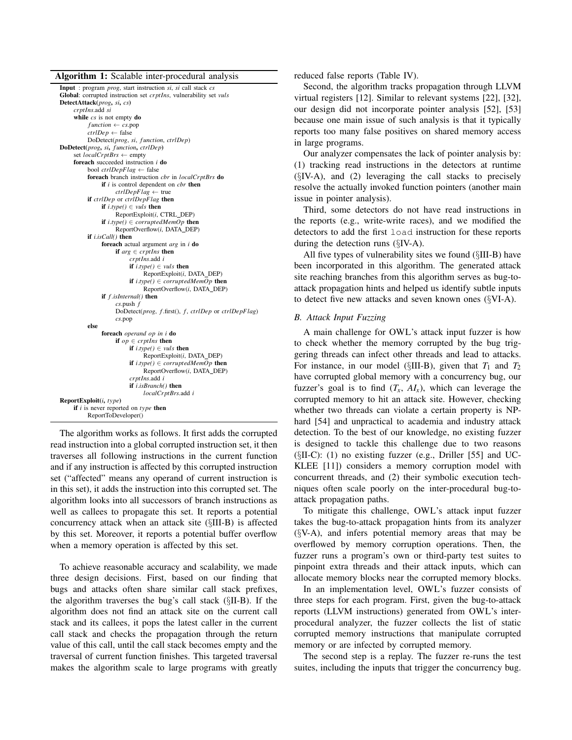| Algorithm 1: Scalable inter-procedural analysis |  |  |  |  |  |  |
|-------------------------------------------------|--|--|--|--|--|--|
|-------------------------------------------------|--|--|--|--|--|--|

| л.                                                                         |
|----------------------------------------------------------------------------|
| Input: program <i>prog</i> , start instruction si, si call stack cs        |
| Global: corrupted instruction set crptIns, vulnerability set vuls          |
| DetectAttack(prog, si, cs)                                                 |
| crptIns.add si                                                             |
| while $cs$ is not empty $do$                                               |
| function $\leftarrow$ cs.pop                                               |
| $ctrlDep \leftarrow false$                                                 |
| DoDetect(prog, si, function, ctrlDep)                                      |
| DoDetect(prog, si, function, ctrlDep)                                      |
| set <i>localCrptBrs</i> $\leftarrow$ empty                                 |
| <b>foreach</b> succeeded instruction $i$ <b>do</b>                         |
| bool ctrlDepFlag $\leftarrow$ false                                        |
| foreach branch instruction cbr in localCrptBrs do                          |
| if $i$ is control dependent on $\textit{cbr}$ then                         |
| $ctrlDepFlag \leftarrow true$                                              |
| if ctrlDep or ctrlDepFlag then                                             |
| <b>if</b> <i>i.type</i> ( <i>)</i> $\in$ <i>vuls</i> <b>then</b>           |
| ReportExploit(i, CTRL_DEP)                                                 |
| <b>if</b> <i>i.type</i> () $\in$ <i>corruptedMemOp</i> <b>then</b>         |
| ReportOverflow(i, DATA_DEP)                                                |
| if $i.isCall()$ then                                                       |
| foreach actual argument <i>arg</i> in <i>i</i> do                          |
| if $arg \in \text{crptIns}$ then                                           |
| crptIns.add i                                                              |
| <b>if</b> <i>i.type</i> ( <i>)</i> $\in$ <i>vuls</i> <b>then</b>           |
| ReportExploit(i, DATA_DEP)                                                 |
| <b>if</b> <i>i.type</i> ( <i>)</i> $\in$ <i>corruptedMemOp</i> <b>then</b> |
| ReportOverflow(i, DATA DEP)                                                |
| if $f.isInternal()$ then                                                   |
| cs. push f                                                                 |
| DoDetect(prog, f.first(), f, ctrlDep or ctrlDepFlag)                       |
|                                                                            |
| $cs$ .pop<br>else                                                          |
| foreach <i>operand op in i</i> do                                          |
|                                                                            |
| if $op \in \text{crpt}$ is then                                            |
| <b>if</b> <i>i.type</i> ( <i>)</i> $\in$ <i>vuls</i> <b>then</b>           |
| ReportExploit(i, DATA_DEP)                                                 |
| <b>if</b> <i>i.type</i> () $\in$ <i>corruptedMemOp</i> <b>then</b>         |
| ReportOverflow(i, DATA_DEP)                                                |
| crptIns.add i                                                              |
| if <i>i.isBranch</i> () then                                               |
| localCrptBrs.add i                                                         |
| $\textbf{ReportExplot}(i, type)$                                           |
| if $i$ is never reported on type then                                      |
| ReportToDeveloper()                                                        |

The algorithm works as follows. It first adds the corrupted read instruction into a global corrupted instruction set, it then traverses all following instructions in the current function and if any instruction is affected by this corrupted instruction set ("affected" means any operand of current instruction is in this set), it adds the instruction into this corrupted set. The algorithm looks into all successors of branch instructions as well as callees to propagate this set. It reports a potential concurrency attack when an attack site (§III-B) is affected by this set. Moreover, it reports a potential buffer overflow when a memory operation is affected by this set.

To achieve reasonable accuracy and scalability, we made three design decisions. First, based on our finding that bugs and attacks often share similar call stack prefixes, the algorithm traverses the bug's call stack (§II-B). If the algorithm does not find an attack site on the current call stack and its callees, it pops the latest caller in the current call stack and checks the propagation through the return value of this call, until the call stack becomes empty and the traversal of current function finishes. This targeted traversal makes the algorithm scale to large programs with greatly reduced false reports (Table IV).

Second, the algorithm tracks propagation through LLVM virtual registers [12]. Similar to relevant systems [22], [32], our design did not incorporate pointer analysis [52], [53] because one main issue of such analysis is that it typically reports too many false positives on shared memory access in large programs.

Our analyzer compensates the lack of pointer analysis by: (1) tracking read instructions in the detectors at runtime  $(\S$ IV-A), and (2) leveraging the call stacks to precisely resolve the actually invoked function pointers (another main issue in pointer analysis).

Third, some detectors do not have read instructions in the reports (e.g., write-write races), and we modified the detectors to add the first load instruction for these reports during the detection runs (§IV-A).

All five types of vulnerability sites we found (§III-B) have been incorporated in this algorithm. The generated attack site reaching branches from this algorithm serves as bug-toattack propagation hints and helped us identify subtle inputs to detect five new attacks and seven known ones (§VI-A).

### *B. Attack Input Fuzzing*

A main challenge for OWL's attack input fuzzer is how to check whether the memory corrupted by the bug triggering threads can infect other threads and lead to attacks. For instance, in our model ( $\S$ III-B), given that  $T_1$  and  $T_2$ have corrupted global memory with a concurrency bug, our fuzzer's goal is to find  $(T_x, A I_x)$ , which can leverage the corrupted memory to hit an attack site. However, checking whether two threads can violate a certain property is NPhard [54] and unpractical to academia and industry attack detection. To the best of our knowledge, no existing fuzzer is designed to tackle this challenge due to two reasons  $(SII-C)$ : (1) no existing fuzzer (e.g., Driller [55] and UC-KLEE [11]) considers a memory corruption model with concurrent threads, and (2) their symbolic execution techniques often scale poorly on the inter-procedural bug-toattack propagation paths.

To mitigate this challenge, OWL's attack input fuzzer takes the bug-to-attack propagation hints from its analyzer  $(\S{V-A})$ , and infers potential memory areas that may be overflowed by memory corruption operations. Then, the fuzzer runs a program's own or third-party test suites to pinpoint extra threads and their attack inputs, which can allocate memory blocks near the corrupted memory blocks.

In an implementation level, OWL's fuzzer consists of three steps for each program. First, given the bug-to-attack reports (LLVM instructions) generated from OWL's interprocedural analyzer, the fuzzer collects the list of static corrupted memory instructions that manipulate corrupted memory or are infected by corrupted memory.

The second step is a replay. The fuzzer re-runs the test suites, including the inputs that trigger the concurrency bug.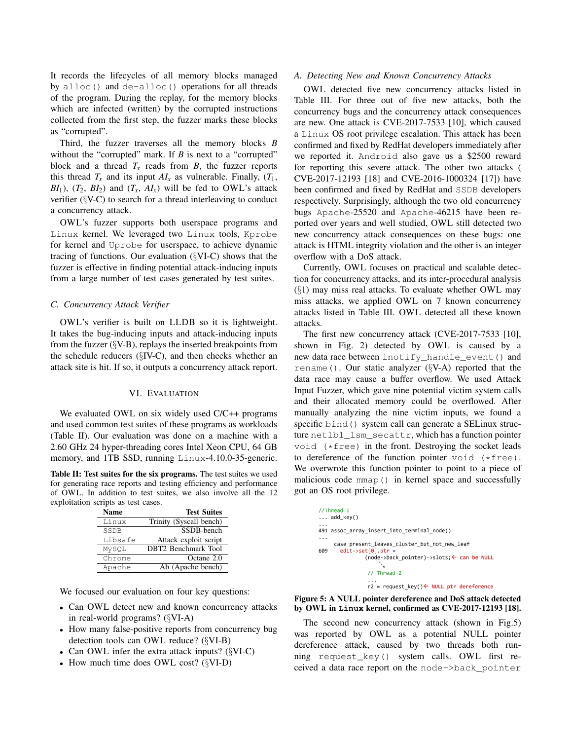It records the lifecycles of all memory blocks managed by alloc() and de-alloc() operations for all threads of the program. During the replay, for the memory blocks which are infected (written) by the corrupted instructions collected from the first step, the fuzzer marks these blocks as "corrupted".

Third, the fuzzer traverses all the memory blocks *B* without the "corrupted" mark. If *B* is next to a "corrupted" block and a thread  $T_x$  reads from *B*, the fuzzer reports this thread  $T_x$  and its input  $AI_x$  as vulnerable. Finally,  $(T_1,$  $BI_1$ ),  $(T_2, BI_2)$  and  $(T_x, AI_x)$  will be fed to OWL's attack verifier (§V-C) to search for a thread interleaving to conduct a concurrency attack.

OWL's fuzzer supports both userspace programs and Linux kernel. We leveraged two Linux tools, Kprobe for kernel and Uprobe for userspace, to achieve dynamic tracing of functions. Our evaluation (§VI-C) shows that the fuzzer is effective in finding potential attack-inducing inputs from a large number of test cases generated by test suites.

# *C. Concurrency Attack Verifier*

OWL's verifier is built on LLDB so it is lightweight. It takes the bug-inducing inputs and attack-inducing inputs from the fuzzer  $(\S{V-B})$ , replays the inserted breakpoints from the schedule reducers (§IV-C), and then checks whether an attack site is hit. If so, it outputs a concurrency attack report.

# VI. EVALUATION

We evaluated OWL on six widely used C/C++ programs and used common test suites of these programs as workloads (Table II). Our evaluation was done on a machine with a 2.60 GHz 24 hyper-threading cores Intel Xeon CPU, 64 GB memory, and 1TB SSD, running Linux-4.10.0-35-generic.

Table II: Test suites for the six programs. The test suites we used for generating race reports and testing efficiency and performance of OWL. In addition to test suites, we also involve all the 12 exploitation scripts as test cases.

| <b>Name</b> | <b>Test Suites</b>         |
|-------------|----------------------------|
| Linux       | Trinity (Syscall bench)    |
| SSDB        | SSDB-bench                 |
| Libsafe     | Attack exploit script      |
| MySQL       | <b>DBT2</b> Benchmark Tool |
| Chrome      | Octane 2.0                 |
| Apache      | Ab (Apache bench)          |

We focused our evaluation on four key questions:

- Can OWL detect new and known concurrency attacks in real-world programs? (§VI-A)
- How many false-positive reports from concurrency bug detection tools can OWL reduce? (§VI-B)
- Can OWL infer the extra attack inputs? (§VI-C)
- How much time does OWL cost? (§VI-D)

### *A. Detecting New and Known Concurrency Attacks*

OWL detected five new concurrency attacks listed in Table III. For three out of five new attacks, both the concurrency bugs and the concurrency attack consequences are new. One attack is CVE-2017-7533 [10], which caused a Linux OS root privilege escalation. This attack has been confirmed and fixed by RedHat developers immediately after we reported it. Android also gave us a \$2500 reward for reporting this severe attack. The other two attacks ( CVE-2017-12193 [18] and CVE-2016-1000324 [17]) have been confirmed and fixed by RedHat and SSDB developers respectively. Surprisingly, although the two old concurrency bugs Apache-25520 and Apache-46215 have been reported over years and well studied, OWL still detected two new concurrency attack consequences on these bugs: one attack is HTML integrity violation and the other is an integer overflow with a DoS attack.

Currently, OWL focuses on practical and scalable detection for concurrency attacks, and its inter-procedural analysis  $(\S1)$  may miss real attacks. To evaluate whether OWL may miss attacks, we applied OWL on 7 known concurrency attacks listed in Table III. OWL detected all these known attacks.

The first new concurrency attack (CVE-2017-7533 [10], shown in Fig. 2) detected by OWL is caused by a new data race between inotify\_handle\_event() and rename(). Our static analyzer ( $\S$ V-A) reported that the data race may cause a buffer overflow. We used Attack Input Fuzzer, which gave nine potential victim system calls and their allocated memory could be overflowed. After manually analyzing the nine victim inputs, we found a specific bind() system call can generate a SELinux structure netlbl\_lsm\_secattr, which has a function pointer void (\*free) in the front. Destroying the socket leads to dereference of the function pointer void (\*free). We overwrote this function pointer to point to a piece of malicious code mmap() in kernel space and successfully got an OS root privilege.

|     | //Thread 1                                                                   |
|-----|------------------------------------------------------------------------------|
|     | $\ldots$ add key()                                                           |
|     | 491 assoc array insert into terminal node()                                  |
|     | case present leaves cluster but not new leaf                                 |
| 609 | $edit\rightarrow set[0].ptr =$<br>(node->back pointer)->slots; ← can be NULL |
|     |                                                                              |
|     | // Thread 2                                                                  |
|     | r2 = request_key()← NULL ptr dereference                                     |



The second new concurrency attack (shown in Fig.5) was reported by OWL as a potential NULL pointer dereference attack, caused by two threads both running request\_key() system calls. OWL first received a data race report on the node->back\_pointer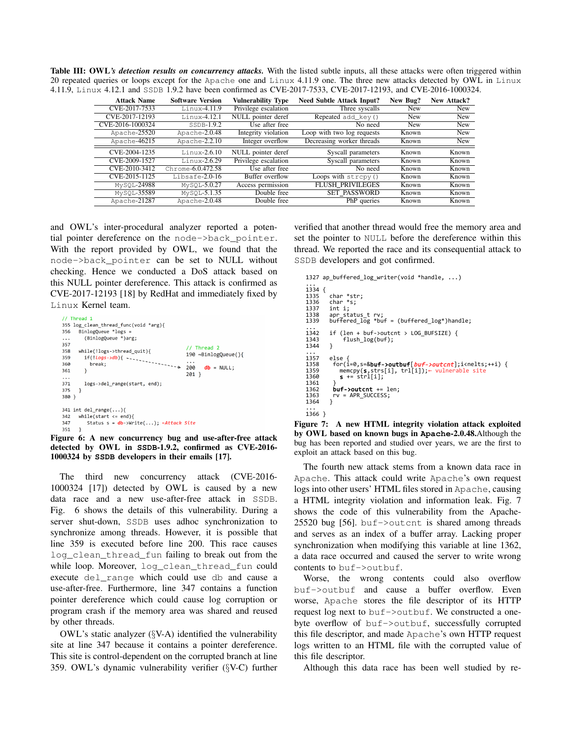Table III: OWL's detection results on concurrency attacks. With the listed subtle inputs, all these attacks were often triggered within 20 repeated queries or loops except for the Apache one and Linux 4.11.9 one. The three new attacks detected by OWL in Linux 4.11.9, Linux 4.12.1 and SSDB 1.9.2 have been confirmed as CVE-2017-7533, CVE-2017-12193, and CVE-2016-1000324.

| <b>Attack Name</b> | <b>Software Version</b> | <b>Vulnerability Type</b> | <b>Need Subtle Attack Input?</b>                 | New Bug?   | New Attack? |
|--------------------|-------------------------|---------------------------|--------------------------------------------------|------------|-------------|
| CVE-2017-7533      | $Linux-4.11.9$          | Privilege escalation      | Three syscalls                                   | <b>New</b> | New         |
| CVE-2017-12193     | Linux-4.12.1            | NULL pointer deref        | Repeated add $key()$                             | <b>New</b> | New         |
| CVE-2016-1000324   | SSDB-1.9.2              | Use after free            | No need                                          | <b>New</b> | New         |
| Apache-25520       | Apache-2.0.48           | Integrity violation       | Loop with two log requests                       | Known      | New         |
| Apache-46215       | Apache-2.2.10           | Integer overflow          | Decreasing worker threads                        | Known      | New         |
| CVE-2004-1235      | $Linux-2.6.10$          | NULL pointer deref        | Syscall parameters                               | Known      | Known       |
| CVE-2009-1527      | $Linux-2.6.29$          | Privilege escalation      | Syscall parameters                               | Known      | Known       |
| CVE-2010-3412      | $Chrome-6.0.472.58$     | Use after free            | No need                                          | Known      | Known       |
| CVE-2015-1125      | $Libsafe-2.0-16$        | Buffer overflow           | $\overline{\text{Loops}}$ with $\text{stropy}()$ | Known      | Known       |
| MySOL-24988        | $MvSOL-5.0.27$          | Access permission         | <b>FLUSH PRIVILEGES</b>                          | Known      | Known       |
| MySOL-35589        | $MvSOL-5.1.35$          | Double free               | <b>SET PASSWORD</b>                              | Known      | Known       |
| Apache-21287       | Apache-2.0.48           | Double free               | PhP queries                                      | Known      | Known       |

and OWL's inter-procedural analyzer reported a potential pointer dereference on the node->back\_pointer. With the report provided by OWL, we found that the node->back\_pointer can be set to NULL without checking. Hence we conducted a DoS attack based on this NULL pointer dereference. This attack is confirmed as CVE-2017-12193 [18] by RedHat and immediately fixed by Linux Kernel team.

|          | // Thread 1                                         |                             |
|----------|-----------------------------------------------------|-----------------------------|
|          | 355 log clean thread func(void *arg){               |                             |
| 356      | $BinlogQueue *logs =$                               |                             |
| $\cdots$ | (BinlogQueue *)arg;                                 |                             |
| 357      |                                                     | // Thread 2                 |
| 358      | while(!logs->thread quit){                          |                             |
| 359      |                                                     | 190 ~BinlogQueue(){         |
| 360      |                                                     | .                           |
| 361      | ł                                                   | 200<br>$db = NULL$<br>201 } |
| .        |                                                     |                             |
| 371      | logs->del range(start, end);                        |                             |
| 375      | - 7                                                 |                             |
| 380 }    |                                                     |                             |
|          |                                                     |                             |
|          | 341 int del range $()$                              |                             |
| 342      | while(start $\le$ end){                             |                             |
| 347      | Status $s = db$ ->Write(); $\leftarrow$ Attack Site |                             |
| 351      |                                                     |                             |

Figure 6: A new concurrency bug and use-after-free attack detected by OWL in **SSDB**-1.9.2, confirmed as CVE-2016- 1000324 by **SSDB** developers in their emails [17].

The third new concurrency attack (CVE-2016- 1000324 [17]) detected by OWL is caused by a new data race and a new use-after-free attack in SSDB. Fig. 6 shows the details of this vulnerability. During a server shut-down, SSDB uses adhoc synchronization to synchronize among threads. However, it is possible that line 359 is executed before line 200. This race causes log\_clean\_thread\_fun failing to break out from the while loop. Moreover, log\_clean\_thread\_fun could execute del\_range which could use db and cause a use-after-free. Furthermore, line 347 contains a function pointer dereference which could cause log corruption or program crash if the memory area was shared and reused by other threads.

OWL's static analyzer (§V-A) identified the vulnerability site at line 347 because it contains a pointer dereference. This site is control-dependent on the corrupted branch at line 359. OWL's dynamic vulnerability verifier (§V-C) further verified that another thread would free the memory area and set the pointer to NULL before the dereference within this thread. We reported the race and its consequential attack to SSDB developers and got confirmed.

```
1327 ap_buffered_log_writer(void *handle, ...)
... 
1334 { 
1335 char *str;<br>1336 char *s
1336 char *s;<br>1336 char *s;<br>1337 int i:
1337 int i;<br>1338 ann st;
1338 apr_status_t rv; 
1339 buffered_log *buf = (buffered_log*)handle; 
...<br>1342
1342 if (len + buf->outcnt > LOG_BUFSIZE) {<br>1343 flush log(buf);
           \int_0^1 flush_log(buf);
1344 } 
... 
1357 else {<br>1358 for(i=0,s=&buf->outbuf[buf->outcnt];i<nelts;++i) {<br>1359 memcpy(s,strs[i], trl[i]);← vulnerable site
                memcpy(s, strs[i], trl[i]); \leftarrow vulnerable site<br>s += strl[i];
1360<br>1361<br>1362
1362 buf->outcnt += len;<br>1363 rv = APR SUCCESS:
           rv = APR\_SUCCES;\}1364 } 
...<br>1366  }
```
 Figure 7: A new HTML integrity violation attack exploited by OWL based on known bugs in **Apache**-2.0.48.Although the bug has been reported and studied over years, we are the first to exploit an attack based on this bug.

The fourth new attack stems from a known data race in Apache. This attack could write Apache's own request logs into other users' HTML files stored in Apache, causing a HTML integrity violation and information leak. Fig. 7 shows the code of this vulnerability from the Apache-25520 bug [56]. buf->outcnt is shared among threads and serves as an index of a buffer array. Lacking proper synchronization when modifying this variable at line 1362, a data race occurred and caused the server to write wrong contents to buf->outbuf.

Worse, the wrong contents could also overflow buf->outbuf and cause a buffer overflow. Even worse, Apache stores the file descriptor of its HTTP request log next to buf->outbuf. We constructed a onebyte overflow of buf->outbuf, successfully corrupted this file descriptor, and made Apache's own HTTP request logs written to an HTML file with the corrupted value of this file descriptor.

Although this data race has been well studied by re-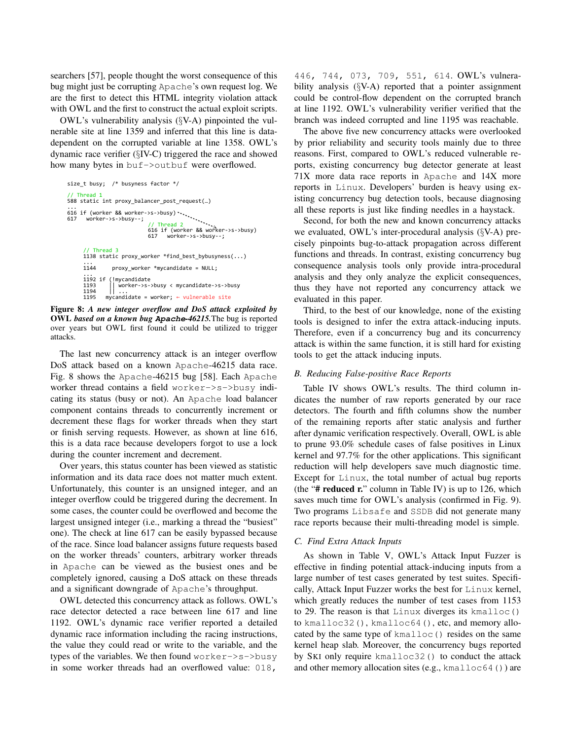searchers [57], people thought the worst consequence of this bug might just be corrupting Apache's own request log. We are the first to detect this HTML integrity violation attack with OWL and the first to construct the actual exploit scripts.

OWL's vulnerability analysis (§V-A) pinpointed the vulnerable site at line 1359 and inferred that this line is datadependent on the corrupted variable at line 1358. OWL's dynamic race verifier (§IV-C) triggered the race and showed how many bytes in buf->outbuf were overflowed.

```
size_t busy; /* busyness factor */
// Thread 1
588 static int proxy_balancer_post_request(…)
...
616 if (worker && worker->s->busy) 
617 worker->s->busy--; 
      // Thread 3
     1138 static proxy_worker *find_best_bybusyness(...)
     ...
               proxy_worker *mycandidate = NULL;
      ...
1192 if (!mycandidate 
     1193 || worker->s->busy < mycandidate->s->busy 
      1194 || ...
1195 mycandidate = worker; ← vulnerable site 
                            // Thread 2
616 if (worker && worker->s->busy) 
                            617 worker->s->busy--;
```
 Figure 8: *A new integer overflow and DoS attack exploited by* OWL *based on a known bug* **Apache***-46215.*The bug is reported over years but OWL first found it could be utilized to trigger attacks.

The last new concurrency attack is an integer overflow DoS attack based on a known Apache-46215 data race. Fig. 8 shows the Apache-46215 bug [58]. Each Apache worker thread contains a field worker->s->busy indicating its status (busy or not). An Apache load balancer component contains threads to concurrently increment or decrement these flags for worker threads when they start or finish serving requests. However, as shown at line 616, this is a data race because developers forgot to use a lock during the counter increment and decrement.

Over years, this status counter has been viewed as statistic information and its data race does not matter much extent. Unfortunately, this counter is an unsigned integer, and an integer overflow could be triggered during the decrement. In some cases, the counter could be overflowed and become the largest unsigned integer (i.e., marking a thread the "busiest" one). The check at line 617 can be easily bypassed because of the race. Since load balancer assigns future requests based on the worker threads' counters, arbitrary worker threads in Apache can be viewed as the busiest ones and be completely ignored, causing a DoS attack on these threads and a significant downgrade of Apache's throughput.

OWL detected this concurrency attack as follows. OWL's race detector detected a race between line 617 and line 1192. OWL's dynamic race verifier reported a detailed dynamic race information including the racing instructions, the value they could read or write to the variable, and the types of the variables. We then found worker->s->busy in some worker threads had an overflowed value: 018,

446, 744, 073, 709, 551, 614. OWL's vulnerability analysis (§V-A) reported that a pointer assignment could be control-flow dependent on the corrupted branch at line 1192. OWL's vulnerability verifier verified that the branch was indeed corrupted and line 1195 was reachable.

The above five new concurrency attacks were overlooked by prior reliability and security tools mainly due to three reasons. First, compared to OWL's reduced vulnerable reports, existing concurrency bug detector generate at least 71X more data race reports in Apache and 14X more reports in Linux. Developers' burden is heavy using existing concurrency bug detection tools, because diagnosing all these reports is just like finding needles in a haystack.

Second, for both the new and known concurrency attacks we evaluated, OWL's inter-procedural analysis (§V-A) precisely pinpoints bug-to-attack propagation across different functions and threads. In contrast, existing concurrency bug consequence analysis tools only provide intra-procedural analysis and they only analyze the explicit consequences, thus they have not reported any concurrency attack we evaluated in this paper.

Third, to the best of our knowledge, none of the existing tools is designed to infer the extra attack-inducing inputs. Therefore, even if a concurrency bug and its concurrency attack is within the same function, it is still hard for existing tools to get the attack inducing inputs.

# *B. Reducing False-positive Race Reports*

Table IV shows OWL's results. The third column indicates the number of raw reports generated by our race detectors. The fourth and fifth columns show the number of the remaining reports after static analysis and further after dynamic verification respectively. Overall, OWL is able to prune 93.0% schedule cases of false positives in Linux kernel and 97.7% for the other applications. This significant reduction will help developers save much diagnostic time. Except for Linux, the total number of actual bug reports (the " $#$  reduced r." column in Table IV) is up to 126, which saves much time for OWL's analysis (confirmed in Fig. 9). Two programs Libsafe and SSDB did not generate many race reports because their multi-threading model is simple.

# *C. Find Extra Attack Inputs*

As shown in Table V, OWL's Attack Input Fuzzer is effective in finding potential attack-inducing inputs from a large number of test cases generated by test suites. Specifically, Attack Input Fuzzer works the best for Linux kernel, which greatly reduces the number of test cases from 1153 to 29. The reason is that Linux diverges its kmalloc() to kmalloc32(), kmalloc64(), etc, and memory allocated by the same type of kmalloc() resides on the same kernel heap slab. Moreover, the concurrency bugs reported by SKI only require kmalloc32() to conduct the attack and other memory allocation sites (e.g., kmalloc64()) are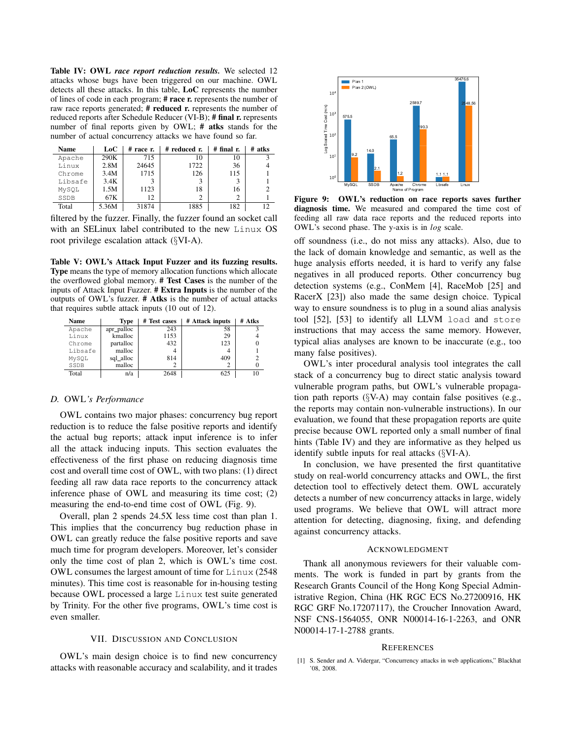Table IV: OWL *race report reduction results.* We selected 12 attacks whose bugs have been triggered on our machine. OWL detects all these attacks. In this table, LoC represents the number of lines of code in each program; # race r. represents the number of raw race reports generated; # reduced r. represents the number of reduced reports after Schedule Reducer (VI-B); # final r. represents number of final reports given by OWL; # atks stands for the number of actual concurrency attacks we have found so far.

| <b>Name</b> | LoC   | $#$ race $r$ . | # reduced r. | $#$ final r. | $#$ atks |
|-------------|-------|----------------|--------------|--------------|----------|
| Apache      | 290K  | 715            | 10           | 10           |          |
| Linux       | 2.8M  | 24645          | 1722         | 36           |          |
| Chrome      | 3.4M  | 1715           | 126          | 115          |          |
| Libsafe     | 3.4K  |                |              |              |          |
| MySOL       | 1.5M  | 1123           | 18           | 16           |          |
| SSDB        | 67K   | 12             |              | C            |          |
| Total       | 5.36M | 31874          | 1885         | 182          | 12       |

filtered by the fuzzer. Finally, the fuzzer found an socket call with an SELinux label contributed to the new Linux OS root privilege escalation attack (§VI-A).

Table V: OWL's Attack Input Fuzzer and its fuzzing results. Type means the type of memory allocation functions which allocate the overflowed global memory. # Test Cases is the number of the inputs of Attack Input Fuzzer. # Extra Inputs is the number of the outputs of OWL's fuzzer. # Atks is the number of actual attacks that requires subtle attack inputs (10 out of 12).

| Name    | Type       | # Test cases | # Attack inputs | # Atks |
|---------|------------|--------------|-----------------|--------|
| Apache  | apr_palloc | 243          | 58              |        |
| Linux   | kmalloc    | 1153         | 29              |        |
| Chrome  | partalloc  | 432          | 123             |        |
| Libsafe | malloc     |              |                 |        |
| MVSOL   | sql_alloc  | 814          | 409             |        |
| SSDB    | malloc     |              |                 |        |
| Total   | n/a        | 2648         | 625             | 10     |

# *D.* OWL*'s Performance*

OWL contains two major phases: concurrency bug report reduction is to reduce the false positive reports and identify the actual bug reports; attack input inference is to infer all the attack inducing inputs. This section evaluates the effectiveness of the first phase on reducing diagnosis time cost and overall time cost of OWL, with two plans: (1) direct feeding all raw data race reports to the concurrency attack inference phase of OWL and measuring its time cost; (2) measuring the end-to-end time cost of OWL (Fig. 9).

Overall, plan 2 spends 24.5X less time cost than plan 1. This implies that the concurrency bug reduction phase in OWL can greatly reduce the false positive reports and save much time for program developers. Moreover, let's consider only the time cost of plan 2, which is OWL's time cost. OWL consumes the largest amount of time for Linux (2548 minutes). This time cost is reasonable for in-housing testing because OWL processed a large Linux test suite generated by Trinity. For the other five programs, OWL's time cost is even smaller.

### VII. DISCUSSION AND CONCLUSION

OWL's main design choice is to find new concurrency attacks with reasonable accuracy and scalability, and it trades



Figure 9: OWL's reduction on race reports saves further diagnosis time. We measured and compared the time cost of feeding all raw data race reports and the reduced reports into OWL's second phase. The y-axis is in *log* scale.

off soundness (i.e., do not miss any attacks). Also, due to the lack of domain knowledge and semantic, as well as the huge analysis efforts needed, it is hard to verify any false negatives in all produced reports. Other concurrency bug detection systems (e.g., ConMem [4], RaceMob [25] and RacerX [23]) also made the same design choice. Typical way to ensure soundness is to plug in a sound alias analysis tool [52], [53] to identify all LLVM load and store instructions that may access the same memory. However, typical alias analyses are known to be inaccurate (e.g., too many false positives).

OWL's inter procedural analysis tool integrates the call stack of a concurrency bug to direct static analysis toward vulnerable program paths, but OWL's vulnerable propagation path reports (§V-A) may contain false positives (e.g., the reports may contain non-vulnerable instructions). In our evaluation, we found that these propagation reports are quite precise because OWL reported only a small number of final hints (Table IV) and they are informative as they helped us identify subtle inputs for real attacks (§VI-A).

In conclusion, we have presented the first quantitative study on real-world concurrency attacks and OWL, the first detection tool to effectively detect them. OWL accurately detects a number of new concurrency attacks in large, widely used programs. We believe that OWL will attract more attention for detecting, diagnosing, fixing, and defending against concurrency attacks.

### ACKNOWLEDGMENT

Thank all anonymous reviewers for their valuable comments. The work is funded in part by grants from the Research Grants Council of the Hong Kong Special Administrative Region, China (HK RGC ECS No.27200916, HK RGC GRF No.17207117), the Croucher Innovation Award, NSF CNS-1564055, ONR N00014-16-1-2263, and ONR N00014-17-1-2788 grants.

#### **REFERENCES**

[1] S. Sender and A. Vidergar, "Concurrency attacks in web applications," Blackhat '08, 2008.